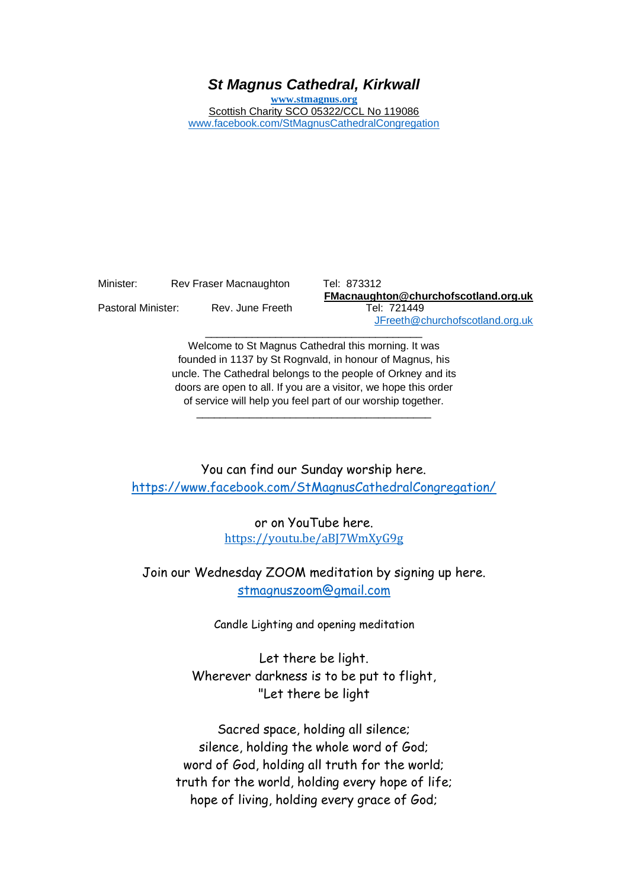## *St Magnus Cathedral, Kirkwall*

**[www.stmagnus.org](http://www.stmagnus.org/)** Scottish Charity SCO 05322/CCL No 119086 [www.facebook.com/StMagnusCathedralCongregation](http://www.facebook.com/StMagnusCathedralCongregation)

| Minister:          | Rev Fraser Macnaughton |  |
|--------------------|------------------------|--|
| Pastoral Minister: | Rev. June Freeth       |  |

Tel: 873312 **FMacnaughton@churchofscotland.org.uk** Tel: 721449 [JFreeth@churchofscotland.org.uk](mailto:JFreeth@churchofscotland.org.uk)

Welcome to St Magnus Cathedral this morning. It was founded in 1137 by St Rognvald, in honour of Magnus, his uncle. The Cathedral belongs to the people of Orkney and its doors are open to all. If you are a visitor, we hope this order of service will help you feel part of our worship together.

\_\_\_\_\_\_\_\_\_\_\_\_\_\_\_\_\_\_\_\_\_\_\_\_\_\_\_\_\_\_\_\_\_\_\_\_\_\_\_\_

\_\_\_\_\_\_\_\_\_\_\_\_\_\_\_\_\_\_\_\_\_\_\_\_\_\_\_\_\_\_\_\_\_\_\_\_\_

You can find our Sunday worship here. <https://www.facebook.com/StMagnusCathedralCongregation/>

> or on YouTube here. [https://youtu.be/aBJ7WmXyG9g](https://avanan.url-protection.com/v1/url?o=https%3A//youtu.be/aBJ7WmXyG9g&g=NDAyMTI3MGUxZDIzMmJkZQ==&h=NTRhMTQxOGIxM2IzYzZhMjBlMjIzYjE1MWUwY2JjYzE5NzY1MWE0Nzk5ODUxN2M4ZTliODUzY2ZjOTcwMzEzNg==&p=YXAzOmNvczphOm86M2FkMjc5ODdmMjZjZGU4ZGU1ZjlhZTg5ODA1ZWE2MTU6djE6aDpU)

Join our Wednesday ZOOM meditation by signing up here. [stmagnuszoom@gmail.com](mailto:stmagnuszoom@gmail.com)

Candle Lighting and opening meditation

Let there be light. Wherever darkness is to be put to flight, "Let there be light

Sacred space, holding all silence; silence, holding the whole word of God; word of God, holding all truth for the world; truth for the world, holding every hope of life; hope of living, holding every grace of God;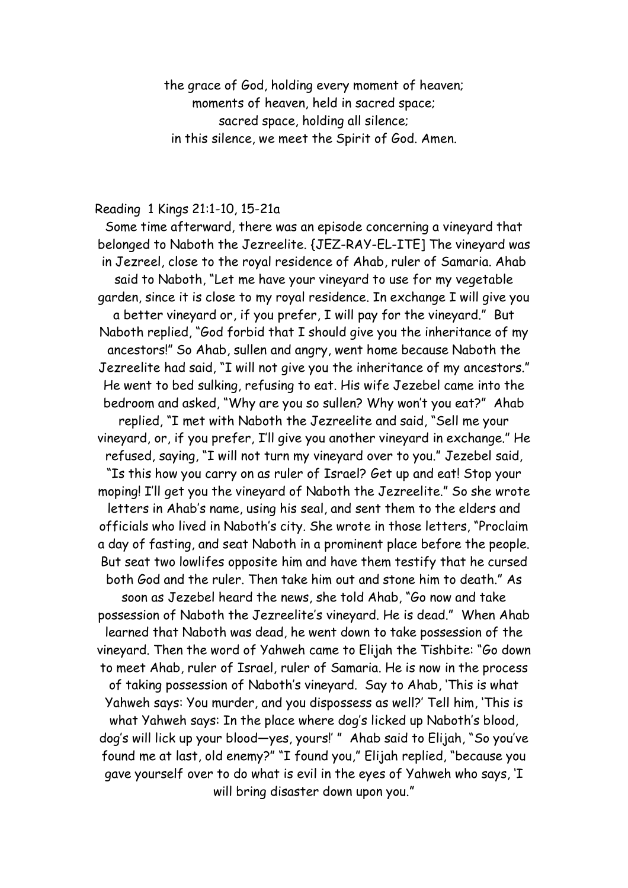the grace of God, holding every moment of heaven; moments of heaven, held in sacred space; sacred space, holding all silence; in this silence, we meet the Spirit of God. Amen.

## Reading 1 Kings 21:1-10, 15-21a

Some time afterward, there was an episode concerning a vineyard that belonged to Naboth the Jezreelite. {JEZ-RAY-EL-ITE] The vineyard was in Jezreel, close to the royal residence of Ahab, ruler of Samaria. Ahab said to Naboth, "Let me have your vineyard to use for my vegetable garden, since it is close to my royal residence. In exchange I will give you a better vineyard or, if you prefer, I will pay for the vineyard." But Naboth replied, "God forbid that I should give you the inheritance of my ancestors!" So Ahab, sullen and angry, went home because Naboth the Jezreelite had said, "I will not give you the inheritance of my ancestors." He went to bed sulking, refusing to eat. His wife Jezebel came into the bedroom and asked, "Why are you so sullen? Why won't you eat?" Ahab replied, "I met with Naboth the Jezreelite and said, "Sell me your vineyard, or, if you prefer, I'll give you another vineyard in exchange." He refused, saying, "I will not turn my vineyard over to you." Jezebel said, "Is this how you carry on as ruler of Israel? Get up and eat! Stop your moping! I'll get you the vineyard of Naboth the Jezreelite." So she wrote letters in Ahab's name, using his seal, and sent them to the elders and officials who lived in Naboth's city. She wrote in those letters, "Proclaim a day of fasting, and seat Naboth in a prominent place before the people. But seat two lowlifes opposite him and have them testify that he cursed both God and the ruler. Then take him out and stone him to death." As soon as Jezebel heard the news, she told Ahab, "Go now and take possession of Naboth the Jezreelite's vineyard. He is dead." When Ahab learned that Naboth was dead, he went down to take possession of the vineyard. Then the word of Yahweh came to Elijah the Tishbite: "Go down to meet Ahab, ruler of Israel, ruler of Samaria. He is now in the process of taking possession of Naboth's vineyard. Say to Ahab, 'This is what Yahweh says: You murder, and you dispossess as well?' Tell him, 'This is what Yahweh says: In the place where dog's licked up Naboth's blood, dog's will lick up your blood—yes, yours!' " Ahab said to Elijah, "So you've found me at last, old enemy?" "I found you," Elijah replied, "because you gave yourself over to do what is evil in the eyes of Yahweh who says, 'I will bring disaster down upon you."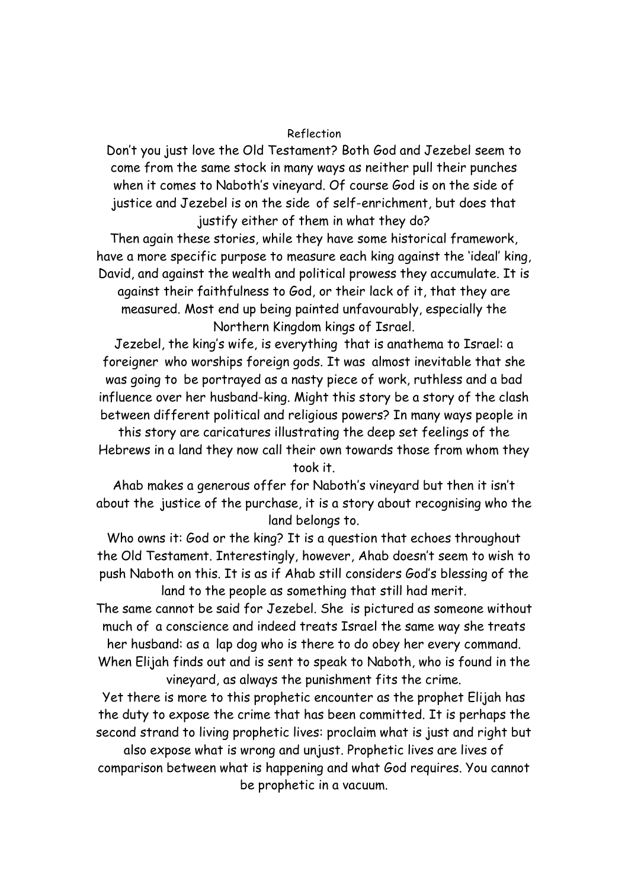## Reflection

Don't you just love the Old Testament? Both God and Jezebel seem to come from the same stock in many ways as neither pull their punches when it comes to Naboth's vineyard. Of course God is on the side of justice and Jezebel is on the side of self-enrichment, but does that justify either of them in what they do?

Then again these stories, while they have some historical framework, have a more specific purpose to measure each king against the 'ideal' king, David, and against the wealth and political prowess they accumulate. It is against their faithfulness to God, or their lack of it, that they are measured. Most end up being painted unfavourably, especially the

Northern Kingdom kings of Israel.

Jezebel, the king's wife, is everything that is anathema to Israel: a foreigner who worships foreign gods. It was almost inevitable that she was going to be portrayed as a nasty piece of work, ruthless and a bad influence over her husband-king. Might this story be a story of the clash between different political and religious powers? In many ways people in

this story are caricatures illustrating the deep set feelings of the Hebrews in a land they now call their own towards those from whom they took it.

Ahab makes a generous offer for Naboth's vineyard but then it isn't about the justice of the purchase, it is a story about recognising who the land belongs to.

Who owns it: God or the king? It is a question that echoes throughout the Old Testament. Interestingly, however, Ahab doesn't seem to wish to push Naboth on this. It is as if Ahab still considers God's blessing of the land to the people as something that still had merit.

The same cannot be said for Jezebel. She is pictured as someone without much of a conscience and indeed treats Israel the same way she treats her husband: as a lap dog who is there to do obey her every command. When Elijah finds out and is sent to speak to Naboth, who is found in the vineyard, as always the punishment fits the crime.

Yet there is more to this prophetic encounter as the prophet Elijah has the duty to expose the crime that has been committed. It is perhaps the second strand to living prophetic lives: proclaim what is just and right but also expose what is wrong and unjust. Prophetic lives are lives of comparison between what is happening and what God requires. You cannot be prophetic in a vacuum.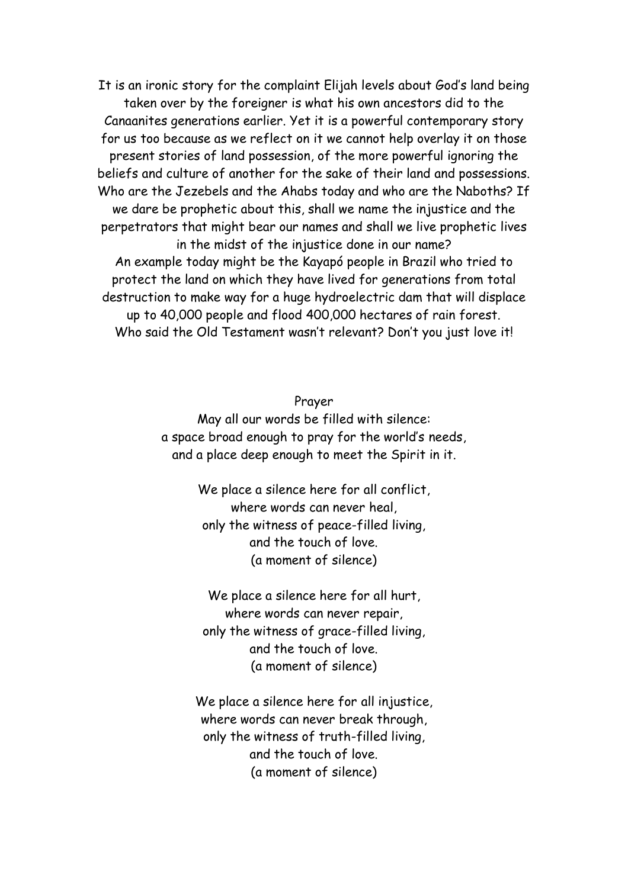It is an ironic story for the complaint Elijah levels about God's land being taken over by the foreigner is what his own ancestors did to the Canaanites generations earlier. Yet it is a powerful contemporary story for us too because as we reflect on it we cannot help overlay it on those present stories of land possession, of the more powerful ignoring the beliefs and culture of another for the sake of their land and possessions. Who are the Jezebels and the Ahabs today and who are the Naboths? If we dare be prophetic about this, shall we name the injustice and the perpetrators that might bear our names and shall we live prophetic lives in the midst of the injustice done in our name? An example today might be the Kayapó people in Brazil who tried to protect the land on which they have lived for generations from total destruction to make way for a huge hydroelectric dam that will displace up to 40,000 people and flood 400,000 hectares of rain forest. Who said the Old Testament wasn't relevant? Don't you just love it!

## Prayer

May all our words be filled with silence: a space broad enough to pray for the world's needs, and a place deep enough to meet the Spirit in it.

> We place a silence here for all conflict, where words can never heal, only the witness of peace-filled living, and the touch of love. (a moment of silence)

We place a silence here for all hurt, where words can never repair, only the witness of grace-filled living, and the touch of love. (a moment of silence)

We place a silence here for all injustice, where words can never break through, only the witness of truth-filled living, and the touch of love. (a moment of silence)